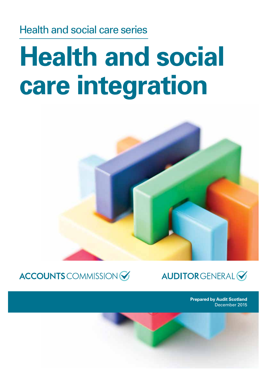Health and social care series

# **Health and social care integration**





**AUDITORGENERAL** 

**Prepared by Audit Scotland** December 2015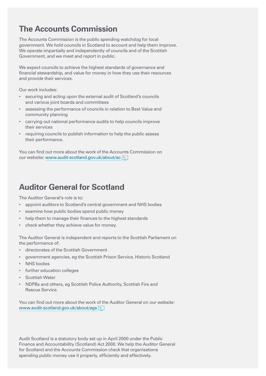### **The Accounts Commission**

The Accounts Commission is the public spending watchdog for local government. We hold councils in Scotland to account and help them improve. We operate impartially and independently of councils and of the Scottish Government, and we meet and report in public.

We expect councils to achieve the highest standards of governance and financial stewardship, and value for money in how they use their resources and provide their services.

Our work includes:

- securing and acting upon the external audit of Scotland's councils and various joint boards and committees
- assessing the performance of councils in relation to Best Value and community planning
- carrying out national performance audits to help councils improve their services
- requiring councils to publish information to help the public assess their performance.

You can find out more about the work of the Accounts Commission on our website: [www.audit-scotland.gov.uk/about/ac](http://www.audit-scotland.gov.uk/about/ac/)

### **Auditor General for Scotland**

The Auditor General's role is to:

- appoint auditors to Scotland's central government and NHS bodies
- examine how public bodies spend public money
- help them to manage their finances to the highest standards
- check whether they achieve value for money.

The Auditor General is independent and reports to the Scottish Parliament on the performance of:

- directorates of the Scottish Government
- government agencies, eg the Scottish Prison Service, Historic Scotland
- NHS bodies
- further education colleges
- Scottish Water
- NDPBs and others, eg Scottish Police Authority, Scottish Fire and Rescue Service.

You can find out more about the work of the Auditor General on our website: [www.audit-scotland.gov.uk/about/ags](http://www.audit-scotland.gov.uk/about/ags/)

Audit Scotland is a statutory body set up in April 2000 under the Public Finance and Accountability (Scotland) Act 2000. We help the Auditor General for Scotland and the Accounts Commission check that organisations spending public money use it properly, efficiently and effectively.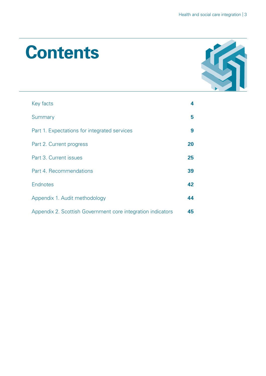## **Contents**



| Key facts                                                   | 4  |
|-------------------------------------------------------------|----|
| Summary                                                     | 5  |
| Part 1. Expectations for integrated services                | 9  |
| Part 2. Current progress                                    | 20 |
| Part 3. Current issues                                      | 25 |
| Part 4. Recommendations                                     | 39 |
| Endnotes                                                    | 42 |
| Appendix 1. Audit methodology                               | 44 |
| Appendix 2. Scottish Government core integration indicators | 45 |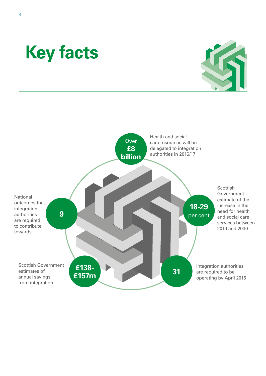## <span id="page-3-0"></span>**Key facts**



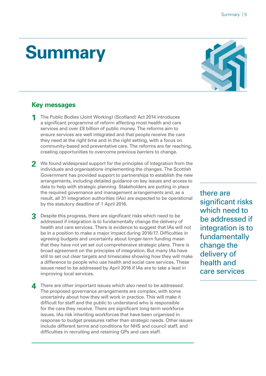## <span id="page-4-0"></span>**Summary**

#### **Key messages**

- **1** The Public Bodies (Joint Working) (Scotland) Act 2014 introduces a significant programme of reform affecting most health and care services and over £8 billion of public money. The reforms aim to ensure services are well integrated and that people receive the care they need at the right time and in the right setting, with a focus on community-based and preventative care. The reforms are far reaching, creating opportunities to overcome previous barriers to change.
- **2** We found widespread support for the principles of integration from the individuals and organisations implementing the changes. The Scottish Government has provided support to partnerships to establish the new arrangements, including detailed guidance on key issues and access to data to help with strategic planning. Stakeholders are putting in place the required governance and management arrangements and, as a result, all 31 integration authorities (IAs) are expected to be operational by the statutory deadline of 1 April 2016.
- **3** Despite this progress, there are significant risks which need to be addressed if integration is to fundamentally change the delivery of health and care services. There is evidence to suggest that IAs will not be in a position to make a major impact during 2016/17. Difficulties in agreeing budgets and uncertainty about longer-term funding mean that they have not yet set out comprehensive strategic plans. There is broad agreement on the principles of integration. But many IAs have still to set out clear targets and timescales showing how they will make a difference to people who use health and social care services. These issues need to be addressed by April 2016 if IAs are to take a lead in improving local services.
- **4** There are other important issues which also need to be addressed. The proposed governance arrangements are complex, with some uncertainty about how they will work in practice. This will make it difficult for staff and the public to understand who is responsible for the care they receive. There are significant long-term workforce issues. IAs risk inheriting workforces that have been organised in response to budget pressures rather than strategic needs. Other issues include different terms and conditions for NHS and council staff, and difficulties in recruiting and retaining GPs and care staff.



there are significant risks which need to be addressed if integration is to fundamentally change the delivery of health and care services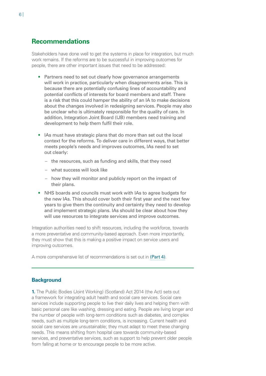#### **Recommendations**

Stakeholders have done well to get the systems in place for integration, but much work remains. If the reforms are to be successful in improving outcomes for people, there are other important issues that need to be addressed:

- Partners need to set out clearly how governance arrangements will work in practice, particularly when disagreements arise. This is because there are potentially confusing lines of accountability and potential conflicts of interests for board members and staff. There is a risk that this could hamper the ability of an IA to make decisions about the changes involved in redesigning services. People may also be unclear who is ultimately responsible for the quality of care. In addition, Integration Joint Board (IJB) members need training and development to help them fulfil their role.
- IAs must have strategic plans that do more than set out the local context for the reforms. To deliver care in different ways, that better meets people's needs and improves outcomes, IAs need to set out clearly:
	- the resources, such as funding and skills, that they need
	- what success will look like
	- how they will monitor and publicly report on the impact of their plans.
- NHS boards and councils must work with IAs to agree budgets for the new IAs. This should cover both their first year and the next few years to give them the continuity and certainty they need to develop and implement strategic plans. IAs should be clear about how they will use resources to integrate services and improve outcomes.

Integration authorities need to shift resources, including the workforce, towards a more preventative and community-based approach. Even more importantly, they must show that this is making a positive impact on service users and improving outcomes.

A more comprehensive list of recommendations is set out in [\(Part 4\)](#page-38-1).

#### **Background**

**1.** The Public Bodies (Joint Working) (Scotland) Act 2014 (the Act) sets out a framework for integrating adult health and social care services. Social care services include supporting people to live their daily lives and helping them with basic personal care like washing, dressing and eating. People are living longer and the number of people with long-term conditions such as diabetes, and complex needs, such as multiple long-term conditions, is increasing. Current health and social care services are unsustainable; they must adapt to meet these changing needs. This means shifting from hospital care towards community-based services, and preventative services, such as support to help prevent older people from falling at home or to encourage people to be more active.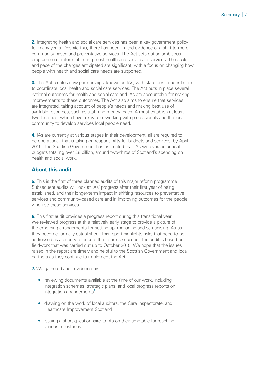**2.** Integrating health and social care services has been a key government policy for many years. Despite this, there has been limited evidence of a shift to more community-based and preventative services. The Act sets out an ambitious programme of reform affecting most health and social care services. The scale and pace of the changes anticipated are significant, with a focus on changing how people with health and social care needs are supported.

**3.** The Act creates new partnerships, known as IAs, with statutory responsibilities to coordinate local health and social care services. The Act puts in place several national outcomes for health and social care and IAs are accountable for making improvements to these outcomes. The Act also aims to ensure that services are integrated, taking account of people's needs and making best use of available resources, such as staff and money. Each IA must establish at least two localities, which have a key role, working with professionals and the local community to develop services local people need.

**4.** IAs are currently at various stages in their development; all are required to be operational, that is taking on responsibility for budgets and services, by April 2016. The Scottish Government has estimated that IAs will oversee annual budgets totalling over £8 billion, around two-thirds of Scotland's spending on health and social work.

#### **About this audit**

**5.** This is the first of three planned audits of this major reform programme. Subsequent audits will look at IAs' progress after their first year of being established, and their longer-term impact in shifting resources to preventative services and community-based care and in improving outcomes for the people who use these services.

**6.** This first audit provides a progress report during this transitional year. We reviewed progress at this relatively early stage to provide a picture of the emerging arrangements for setting up, managing and scrutinising IAs as they become formally established. This report highlights risks that need to be addressed as a priority to ensure the reforms succeed. The audit is based on fieldwork that was carried out up to October 2015. We hope that the issues raised in the report are timely and helpful to the Scottish Government and local partners as they continue to implement the Act.

**7.** We gathered audit evidence by:

- reviewing documents available at the time of our work, including integration schemes, strategic plans, and local progress reports on  $interactions$  arrangements<sup>[1](#page-41-1)</sup>
- drawing on the work of local auditors, the Care Inspectorate, and Healthcare Improvement Scotland
- issuing a short questionnaire to IAs on their timetable for reaching various milestones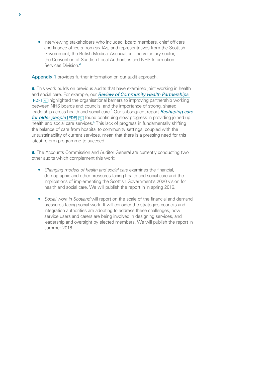• interviewing stakeholders who included, board members, chief officers and finance officers from six IAs, and representatives from the Scottish Government, the British Medical Association, the voluntary sector, the Convention of Scottish Local Authorities and NHS Information Services Division.<sup>[2](#page-41-2)</sup>

<span id="page-7-0"></span>[Appendix 1](#page-43-1) provides further information on our audit approach.

<span id="page-7-1"></span>**8.** This work builds on previous audits that have examined joint working in health and social care. For example, our *[Review of Community Health Partnerships](http://www.audit-scotland.gov.uk/uploads/docs/report/2011/nr_110602_chp.pdf)* [\[PDF\]](http://www.audit-scotland.gov.uk/uploads/docs/report/2011/nr_110602_chp.pdf) highlighted the organisational barriers to improving partnership working between NHS boards and councils, and the importance of strong, shared leadership across health and social care.<sup>[3](#page-41-3)</sup> Our subsequent report *Reshaping care [for older people](http://www.audit-scotland.gov.uk/uploads/docs/report/2014/nr_140206_reshaping_care.pdf)* [PDF] **found continuing slow progress in providing joined up** health and social care services.<sup>[4](#page-41-4)</sup> This lack of progress in fundamentally shifting the balance of care from hospital to community settings, coupled with the unsustainability of current services, mean that there is a pressing need for this latest reform programme to succeed.

<span id="page-7-2"></span>**9.** The Accounts Commission and Auditor General are currently conducting two other audits which complement this work:

- *Changing models of health and social care* examines the financial, demographic and other pressures facing health and social care and the implications of implementing the Scottish Government's 2020 vision for health and social care. We will publish the report in in spring 2016.
- *Social work in Scotland* will report on the scale of the financial and demand pressures facing social work. It will consider the strategies councils and integration authorities are adopting to address these challenges, how service users and carers are being involved in designing services, and leadership and oversight by elected members. We will publish the report in summer 2016.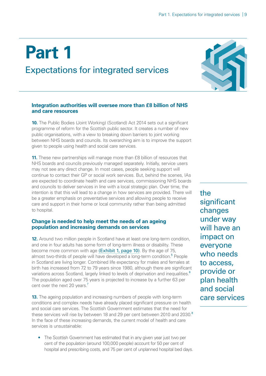## <span id="page-8-0"></span>**Part 1**

### Expectations for integrated services



#### **Integration authorities will oversee more than £8 billion of NHS and care resources**

**10.** The Public Bodies (Joint Working) (Scotland) Act 2014 sets out a significant programme of reform for the Scottish public sector. It creates a number of new public organisations, with a view to breaking down barriers to joint working between NHS boards and councils. Its overarching aim is to improve the support given to people using health and social care services.

**11.** These new partnerships will manage more than £8 billion of resources that NHS boards and councils previously managed separately. Initially, service users may not see any direct change. In most cases, people seeking support will continue to contact their GP or social work services. But, behind the scenes, IAs are expected to coordinate health and care services, commissioning NHS boards and councils to deliver services in line with a local strategic plan. Over time, the intention is that this will lead to a change in how services are provided. There will be a greater emphasis on preventative services and allowing people to receive care and support in their home or local community rather than being admitted to hospital.

#### **Change is needed to help meet the needs of an ageing population and increasing demands on services**

<span id="page-8-1"></span>**12.** Around two million people in Scotland have at least one long-term condition, and one in four adults has some form of long-term illness or disability. These become more common with age [\(Exhibit 1, page 10\)](#page-9-0). By the age of 75, almost two-thirds of people will have developed a long-term condition.<sup>[5](#page-41-5)</sup> People in Scotland are living longer. Combined life expectancy for males and females at birth has increased from 72 to 79 years since 1980, although there are significant variations across Scotland, largely linked to levels of deprivation and inequalities.<sup>[6](#page-41-6)</sup> The population aged over 75 years is projected to increase by a further 63 per cent over the next 20 years.<sup>[7](#page-41-7)</sup>

<span id="page-8-4"></span><span id="page-8-3"></span><span id="page-8-2"></span>**13.** The ageing population and increasing numbers of people with long-term conditions and complex needs have already placed significant pressure on health and social care services. The Scottish Government estimates that the need for these services will rise by between 1[8](#page-41-8) and 29 per cent between 2010 and 2030.<sup>8</sup> In the face of these increasing demands, the current model of health and care services is unsustainable:

• The Scottish Government has estimated that in any given year just two per cent of the population (around 100,000 people) account for 50 per cent of hospital and prescribing costs, and 75 per cent of unplanned hospital bed days. the significant changes under way will have an impact on everyone who needs to access, provide or plan health and social care services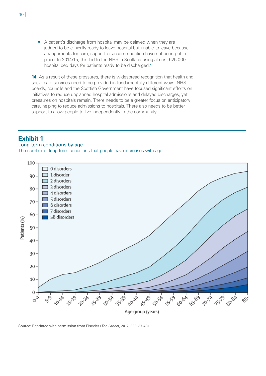• A patient's discharge from hospital may be delayed when they are judged to be clinically ready to leave hospital but unable to leave because arrangements for care, support or accommodation have not been put in place. In 2014/15, this led to the NHS in Scotland using almost 625,000 hospital bed days for patients ready to be discharged.<sup>[9](#page-41-9)</sup>

<span id="page-9-1"></span>**14.** As a result of these pressures, there is widespread recognition that health and social care services need to be provided in fundamentally different ways. NHS boards, councils and the Scottish Government have focused significant efforts on initiatives to reduce unplanned hospital admissions and delayed discharges, yet pressures on hospitals remain. There needs to be a greater focus on anticipatory care, helping to reduce admissions to hospitals. There also needs to be better support to allow people to live independently in the community.

#### <span id="page-9-0"></span>**Exhibit 1**

#### Long-term conditions by age

The number of long-term conditions that people have increases with age.



Source: Reprinted with permission from Elsevier (*The Lancet*, 2012, 380, 37-43)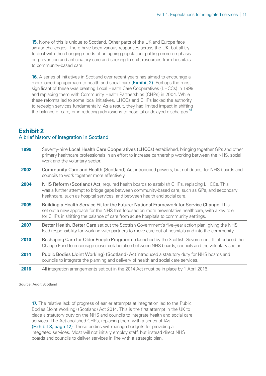**15.** None of this is unique to Scotland. Other parts of the UK and Europe face similar challenges. There have been various responses across the UK, but all try to deal with the changing needs of an ageing population, putting more emphasis on prevention and anticipatory care and seeking to shift resources from hospitals to community-based care.

**16.** A series of initiatives in Scotland over recent years has aimed to encourage a more joined-up approach to health and social care [\(Exhibit 2\)](#page-10-0). Perhaps the most significant of these was creating Local Health Care Cooperatives (LHCCs) in 1999 and replacing them with Community Health Partnerships (CHPs) in 2004. While these reforms led to some local initiatives, LHCCs and CHPs lacked the authority to redesign services fundamentally. As a result, they had limited impact in shifting the balance of care, or in reducing admissions to hospital or delayed discharges.<sup>[10](#page-41-10)</sup>

#### <span id="page-10-1"></span><span id="page-10-0"></span>**Exhibit 2** A brief history of integration in Scotland

| 1999 | Seventy-nine Local Health Care Cooperatives (LHCCs) established, bringing together GPs and other<br>primary healthcare professionals in an effort to increase partnership working between the NHS, social<br>work and the voluntary sector.                                           |
|------|---------------------------------------------------------------------------------------------------------------------------------------------------------------------------------------------------------------------------------------------------------------------------------------|
| 2002 | Community Care and Health (Scotland) Act introduced powers, but not duties, for NHS boards and<br>councils to work together more effectively.                                                                                                                                         |
| 2004 | NHS Reform (Scotland) Act, required health boards to establish CHPs, replacing LHCCs. This<br>was a further attempt to bridge gaps between community-based care, such as GPs, and secondary<br>healthcare, such as hospital services, and between health and social care.             |
| 2005 | Building a Health Service Fit for the Future: National Framework for Service Change. This<br>set out a new approach for the NHS that focused on more preventative healthcare, with a key role<br>for CHPs in shifting the balance of care from acute hospitals to community settings. |
| 2007 | Better Health, Better Care set out the Scottish Government's five-year action plan, giving the NHS<br>lead responsibility for working with partners to move care out of hospitals and into the community.                                                                             |
| 2010 | Reshaping Care for Older People Programme launched by the Scottish Government. It introduced the<br>Change Fund to encourage closer collaboration between NHS boards, councils and the voluntary sector.                                                                              |
| 2014 | Public Bodies (Joint Working) (Scotland) Act introduced a statutory duty for NHS boards and<br>councils to integrate the planning and delivery of health and social care services.                                                                                                    |
| 2016 | All integration arrangements set out in the 2014 Act must be in place by 1 April 2016.                                                                                                                                                                                                |

Source: Audit Scotland

**17.** The relative lack of progress of earlier attempts at integration led to the Public Bodies (Joint Working) (Scotland) Act 2014. This is the first attempt in the UK to place a statutory duty on the NHS and councils to integrate health and social care services. The Act abolished CHPs, replacing them with a series of IAs [\(Exhibit 3, page 12\)](#page-11-0). These bodies will manage budgets for providing all integrated services. Most will not initially employ staff, but instead direct NHS boards and councils to deliver services in line with a strategic plan.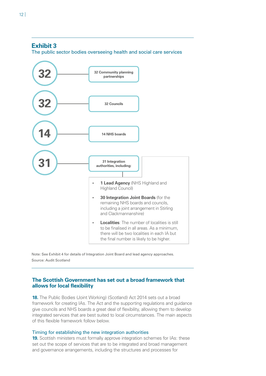#### <span id="page-11-0"></span>**Exhibit 3**

The public sector bodies overseeing health and social care services



Note: See Exhibit 4 for details of Integration Joint Board and lead agency approaches. Source: Audit Scotland

#### **The Scottish Government has set out a broad framework that allows for local flexibility**

**18.** The Public Bodies (Joint Working) (Scotland) Act 2014 sets out a broad framework for creating IAs. The Act and the supporting regulations and guidance give councils and NHS boards a great deal of flexibility, allowing them to develop integrated services that are best suited to local circumstances. The main aspects of this flexible framework follow below.

#### Timing for establishing the new integration authorities

**19.** Scottish ministers must formally approve integration schemes for IAs: these set out the scope of services that are to be integrated and broad management and governance arrangements, including the structures and processes for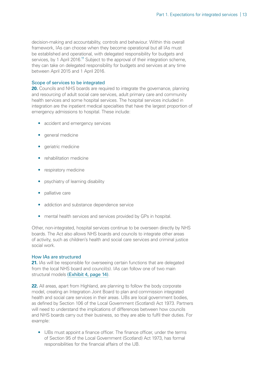<span id="page-12-0"></span>decision-making and accountability, controls and behaviour. Within this overall framework, IAs can choose when they become operational but all IAs must be established and operational, with delegated responsibility for budgets and services, by 1 April 2016.<sup>[11](#page-41-11)</sup> Subject to the approval of their integration scheme, they can take on delegated responsibility for budgets and services at any time between April 2015 and 1 April 2016.

#### Scope of services to be integrated

**20.** Councils and NHS boards are required to integrate the governance, planning and resourcing of adult social care services, adult primary care and community health services and some hospital services. The hospital services included in integration are the inpatient medical specialties that have the largest proportion of emergency admissions to hospital. These include:

- accident and emergency services
- qeneral medicine
- geriatric medicine
- rehabilitation medicine
- respiratory medicine
- psychiatry of learning disability
- palliative care
- addiction and substance dependence service
- mental health services and services provided by GPs in hospital.

Other, non-integrated, hospital services continue to be overseen directly by NHS boards. The Act also allows NHS boards and councils to integrate other areas of activity, such as children's health and social care services and criminal justice social work.

#### How IAs are structured

**21.** IAs will be responsible for overseeing certain functions that are delegated from the local NHS board and council(s). IAs can follow one of two main structural models [\(Exhibit 4, page 14\)](#page-13-0).

**22.** All areas, apart from Highland, are planning to follow the body corporate model, creating an Integration Joint Board to plan and commission integrated health and social care services in their areas. IJBs are local government bodies, as defined by Section 106 of the Local Government (Scotland) Act 1973. Partners will need to understand the implications of differences between how councils and NHS boards carry out their business, so they are able to fulfil their duties. For example:

• IJBs must appoint a finance officer. The finance officer, under the terms of Section 95 of the Local Government (Scotland) Act 1973, has formal responsibilities for the financial affairs of the IJB.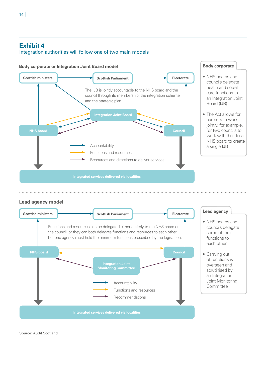#### <span id="page-13-0"></span>Integration authorities will follow one of two main models



Source: Audit Scotland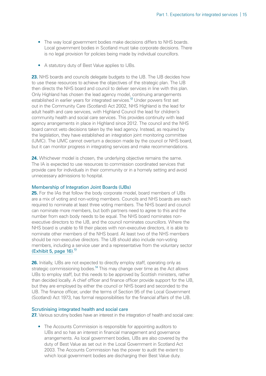- The way local government bodies make decisions differs to NHS boards. Local government bodies in Scotland must take corporate decisions. There is no legal provision for policies being made by individual councillors.
- A statutory duty of Best Value applies to IJBs.

<span id="page-14-0"></span>**23.** NHS boards and councils delegate budgets to the IJB. The IJB decides how to use these resources to achieve the objectives of the strategic plan. The IJB then directs the NHS board and council to deliver services in line with this plan. Only Highland has chosen the lead agency model, continuing arrangements established in earlier years for integrated services.<sup>[12](#page-41-12)</sup> Under powers first set out in the Community Care (Scotland) Act 2002, NHS Highland is the lead for adult health and care services, with Highland Council the lead for children's community health and social care services. This provides continuity with lead agency arrangements in place in Highland since 2012. The council and the NHS board cannot veto decisions taken by the lead agency. Instead, as required by the legislation, they have established an integration joint monitoring committee (IJMC). The IJMC cannot overturn a decision made by the council or NHS board, but it can monitor progress in integrating services and make recommendations.

**24.** Whichever model is chosen, the underlying objective remains the same. The IA is expected to use resources to commission coordinated services that provide care for individuals in their community or in a homely setting and avoid unnecessary admissions to hospital.

#### Membership of Integration Joint Boards (IJBs)

**25.** For the IAs that follow the body corporate model, board members of IJBs are a mix of voting and non-voting members. Councils and NHS boards are each required to nominate at least three voting members. The NHS board and council can nominate more members, but both partners need to agree to this and the number from each body needs to be equal. The NHS board nominates nonexecutive directors to the IJB, and the council nominates councillors. Where the NHS board is unable to fill their places with non-executive directors, it is able to nominate other members of the NHS board. At least two of the NHS members should be non-executive directors. The IJB should also include non-voting members, including a service user and a representative from the voluntary sector [\(Exhibit 5, page 16\)](#page-15-0). [13](#page-41-13)

<span id="page-14-2"></span><span id="page-14-1"></span>**26.** Initially, IJBs are not expected to directly employ staff, operating only as strategic commissioning bodies.<sup>[14](#page-41-14)</sup> This may change over time as the Act allows IJBs to employ staff, but this needs to be approved by Scottish ministers, rather than decided locally. A chief officer and finance officer provide support for the IJB, but they are employed by either the council or NHS board and seconded to the IJB. The finance officer, under the terms of Section 95 of the Local Government (Scotland) Act 1973, has formal responsibilities for the financial affairs of the IJB.

#### Scrutinising integrated health and social care

27. Various scrutiny bodies have an interest in the integration of health and social care:

• The Accounts Commission is responsible for appointing auditors to IJBs and so has an interest in financial management and governance arrangements. As local government bodies, IJBs are also covered by the duty of Best Value as set out in the Local Government in Scotland Act 2003. The Accounts Commission has the power to audit the extent to which local government bodies are discharging their Best Value duty.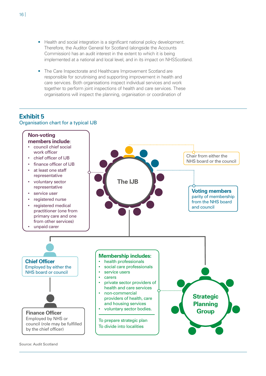- Health and social integration is a significant national policy development. Therefore, the Auditor General for Scotland (alongside the Accounts Commission) has an audit interest in the extent to which it is being implemented at a national and local level, and in its impact on NHSScotland.
- The Care Inspectorate and Healthcare Improvement Scotland are responsible for scrutinising and supporting improvement in health and care services. Both organisations inspect individual services and work together to perform joint inspections of health and care services. These organisations will inspect the planning, organisation or coordination of

#### <span id="page-15-0"></span>**Exhibit 5**

Organisation chart for a typical IJB

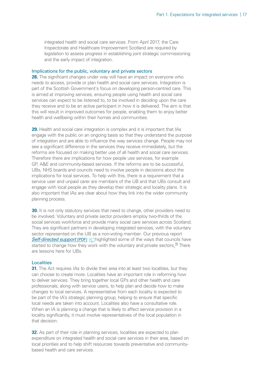integrated health and social care services. From April 2017, the Care Inspectorate and Healthcare Improvement Scotland are required by legislation to assess progress in establishing joint strategic commissioning and the early impact of integration.

#### Implications for the public, voluntary and private sectors

**28.** The significant changes under way will have an impact on everyone who needs to access, provide or plan health and social care services. Integration is part of the Scottish Government's focus on developing person-centred care. This is aimed at improving services, ensuring people using health and social care services can expect to be listened to, to be involved in deciding upon the care they receive and to be an active participant in how it is delivered. The aim is that this will result in improved outcomes for people, enabling them to enjoy better health and wellbeing within their homes and communities.

**29.** Health and social care integration is complex and it is important that IAs engage with the public on an ongoing basis so that they understand the purpose of integration and are able to influence the way services change. People may not see a significant difference in the services they receive immediately, but the reforms are focused on making better use of all health and social care services. Therefore there are implications for how people use services, for example GP, A&E and community-based services. If the reforms are to be successful, IJBs, NHS boards and councils need to involve people in decisions about the implications for local services. To help with this, there is a requirement that a service user and unpaid carer are members of the IJB and that IJBs consult and engage with local people as they develop their strategic and locality plans. It is also important that IAs are clear about how they link into the wider community planning process.

**30.** It is not only statutory services that need to change, other providers need to be involved. Voluntary and private sector providers employ two-thirds of the social services workforce and provide many social care services across Scotland. They are significant partners in developing integrated services, with the voluntary sector represented on the IJB as a non-voting member. Our previous report *Self-directed support* [PDF] **highlighted some of the ways that councils have** started to change how they work with the voluntary and private sectors.<sup>[15](#page-41-15)</sup> There are lessons here for IJBs.

#### <span id="page-16-0"></span>**Localities**

**31.** The Act requires IAs to divide their area into at least two localities, but they can choose to create more. Localities have an important role in reforming how to deliver services. They bring together local GPs and other health and care professionals, along with service users, to help plan and decide how to make changes to local services. A representative from each locality is expected to be part of the IA's strategic planning group, helping to ensure that specific local needs are taken into account. Localities also have a consultative role. When an IA is planning a change that is likely to affect service provision in a locality significantly, it must involve representatives of the local population in that decision.

**32.** As part of their role in planning services, localities are expected to plan expenditure on integrated health and social care services in their area, based on local priorities and to help shift resources towards preventative and communitybased health and care services.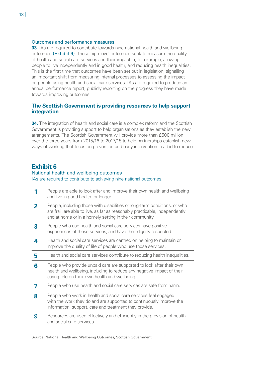#### Outcomes and performance measures

**33.** IAs are required to contribute towards nine national health and wellbeing outcomes [\(Exhibit 6\)](#page-17-0). These high-level outcomes seek to measure the quality of health and social care services and their impact in, for example, allowing people to live independently and in good health, and reducing health inequalities. This is the first time that outcomes have been set out in legislation, signalling an important shift from measuring internal processes to assessing the impact on people using health and social care services. IAs are required to produce an annual performance report, publicly reporting on the progress they have made towards improving outcomes.

#### **The Scottish Government is providing resources to help support integration**

**34.** The integration of health and social care is a complex reform and the Scottish Government is providing support to help organisations as they establish the new arrangements. The Scottish Government will provide more than £500 million over the three years from 2015/16 to 2017/18 to help partnerships establish new ways of working that focus on prevention and early intervention in a bid to reduce

#### <span id="page-17-0"></span>**Exhibit 6**

#### National health and wellbeing outcomes

IAs are required to contribute to achieving nine national outcomes.

- **1** People are able to look after and improve their own health and wellbeing and live in good health for longer.
- **2** People, including those with disabilities or long-term conditions, or who are frail, are able to live, as far as reasonably practicable, independently and at home or in a homely setting in their community.
- **3** People who use health and social care services have positive experiences of those services, and have their dignity respected.
- **4** Health and social care services are centred on helping to maintain or improve the quality of life of people who use those services.
- **5** Health and social care services contribute to reducing health inequalities.
- **6** People who provide unpaid care are supported to look after their own health and wellbeing, including to reduce any negative impact of their caring role on their own health and wellbeing.
- **7** People who use health and social care services are safe from harm.
- **8** People who work in health and social care services feel engaged with the work they do and are supported to continuously improve the information, support, care and treatment they provide.
- **9** Resources are used effectively and efficiently in the provision of health and social care services.

Source: National Health and Wellbeing Outcomes, Scottish Government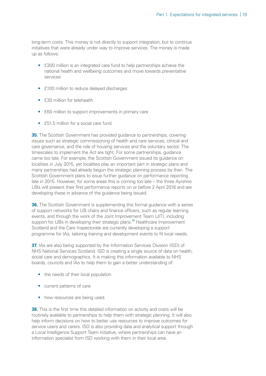long-term costs. This money is not directly to support integration, but to continue initiatives that were already under way to improve services. The money is made up as follows:

- £300 million is an integrated care fund to help partnerships achieve the national health and wellbeing outcomes and move towards preventative services
- £100 million to reduce delayed discharges
- £30 million for telehealth
- £60 million to support improvements in primary care
- £51.5 million for a social care fund.

**35.** The Scottish Government has provided quidance to partnerships, covering issues such as strategic commissioning of health and care services, clinical and care governance, and the role of housing services and the voluntary sector. The timescales to implement the Act are tight. For some partnerships, guidance came too late. For example, the Scottish Government issued its guidance on localities in July 2015, yet localities play an important part in strategic plans and many partnerships had already begun the strategic planning process by then. The Scottish Government plans to issue further guidance on performance reporting late in 2015. However, for some areas this is coming too late – the three Ayrshire IJBs will present their first performance reports on or before 2 April 2016 and are developing these in advance of the guidance being issued.

<span id="page-18-0"></span>**36.** The Scottish Government is supplementing this formal guidance with a series of support networks for IJB chairs and finance officers, such as regular learning events, and through the work of the Joint Improvement Team (JIT), including support for IJBs in developing their strategic plans.<sup>[16](#page-41-16)</sup> Healthcare Improvement Scotland and the Care Inspectorate are currently developing a support programme for IAs, tailoring training and development events to fit local needs.

**37.** IAs are also being supported by the Information Services Division (ISD) of NHS National Services Scotland. ISD is creating a single source of data on health, social care and demographics. It is making this information available to NHS boards, councils and IAs to help them to gain a better understanding of:

- the needs of their local population
- current patterns of care
- how resources are being used.

**38.** This is the first time this detailed information on activity and costs will be routinely available to partnerships to help them with strategic planning. It will also help inform decisions on how to better use resources to improve outcomes for service users and carers. ISD is also providing data and analytical support through a Local Intelligence Support Team initiative, where partnerships can have an information specialist from ISD working with them in their local area.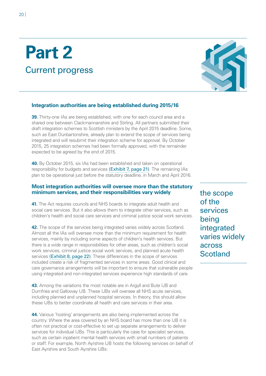## <span id="page-19-0"></span>**Part 2** Current progress



#### <span id="page-19-1"></span>**Integration authorities are being established during 2015/16**

**39.** Thirty-one IAs are being established, with one for each council area and a shared one between Clackmannanshire and Stirling. All partners submitted their draft integration schemes to Scottish ministers by the April 2015 deadline. Some, such as East Dunbartonshire, already plan to extend the scope of services being integrated and will resubmit their integration scheme for approval. By October 2015, 25 integration schemes had been formally approved, with the remainder expected to be agreed by the end of 2015.

**40.** By October 2015, six IAs had been established and taken on operational responsibility for budgets and services [\(Exhibit 7, page 21\)](#page-20-0). The remaining IAs plan to be operational just before the statutory deadline, in March and April 2016.

#### **Most integration authorities will oversee more than the statutory minimum services, and their responsibilities vary widely**

**41.** The Act requires councils and NHS boards to integrate adult health and social care services. But it also allows them to integrate other services, such as children's health and social care services and criminal justice social work services.

**42.** The scope of the services being integrated varies widely across Scotland. Almost all the IAs will oversee more than the minimum requirement for health services, mainly by including some aspects of children's health services. But there is a wide range in responsibilities for other areas, such as children's social work services, criminal justice social work services, and planned acute health services [\(Exhibit 8, page 22\)](#page-21-0). These differences in the scope of services included create a risk of fragmented services in some areas. Good clinical and care governance arrangements will be important to ensure that vulnerable people using integrated and non-integrated services experience high standards of care.

**43.** Among the variations the most notable are in Argyll and Bute IJB and Dumfries and Galloway IJB. These IJBs will oversee all NHS acute services, including planned and unplanned hospital services. In theory, this should allow these IJBs to better coordinate all health and care services in their area.

**44.** Various 'hosting' arrangements are also being implemented across the country. Where the area covered by an NHS board has more than one IJB it is often not practical or cost-effective to set up separate arrangements to deliver services for individual IJBs. This is particularly the case for specialist services, such as certain inpatient mental health services with small numbers of patients or staff. For example, North Ayrshire IJB hosts the following services on behalf of East Ayrshire and South Ayrshire IJBs:

the scope of the services being integrated varies widely across **Scotland**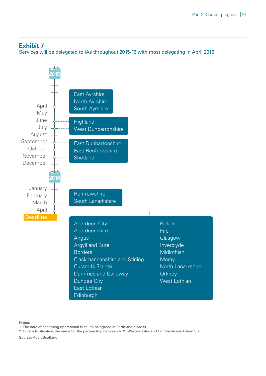#### <span id="page-20-0"></span>**Exhibit 7**

Services will be delegated to IAs throughout 2015/16 with most delegating in April 2016



Notes:

1. The date of becoming operational is still to be agreed in Perth and Kinross.

2. Curam Is Slainte is the name for the partnership between NHS Western Isles and Comhairle nan Eilean Siar.

Source: Audit Scotland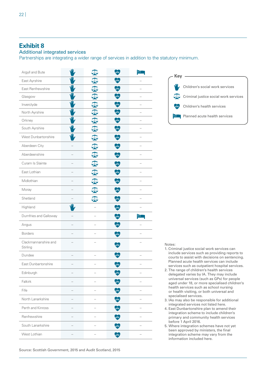#### <span id="page-21-0"></span>Additional integrated services

Partnerships are integrating a wider range of services in addition to the statutory minimum.

| Argyll and Bute                  |                         |                     | ww.            | ப                        |
|----------------------------------|-------------------------|---------------------|----------------|--------------------------|
| East Ayrshire                    |                         | $\delta \mathbf{R}$ | $\mathcal{M}$  |                          |
| East Renfrewshire                |                         | $\sigma$            | M              |                          |
| Glasgow                          |                         | ℧                   | $\mathcal{M}$  |                          |
| Inverclyde                       | W                       | $\delta \mathbf{R}$ | MW             |                          |
| North Ayrshire                   | $\overline{\mathsf{w}}$ | ١٥                  | WW)            | $\overline{\phantom{0}}$ |
| Orkney                           | 业                       | 50                  | $\mathcal{M}$  |                          |
| South Ayrshire                   |                         | l4                  | $\overline{M}$ |                          |
| West Dunbartonshire              |                         | <b>STA</b>          | <b>WW</b>      |                          |
| Aberdeen City                    |                         | $\delta \mathbf{R}$ | $\mathcal{M}$  |                          |
| Aberdeenshire                    |                         | $\sigma$            | $\mathcal{M}$  |                          |
| Curam Is Slainte                 |                         | $\Delta$            | $\mathcal{M}$  |                          |
| East Lothian                     |                         | 573                 | $\mathcal{M}$  |                          |
| Midlothian                       |                         | $\delta \mathbf{R}$ | $\mathcal{M}$  |                          |
| Moray                            |                         | $\sigma$            | $\mathcal{M}$  |                          |
| Shetland                         |                         | 40                  | $\sqrt{M}$     |                          |
| Highland                         | Ŵ                       |                     | $\mathcal{M}$  |                          |
| Dumfries and Galloway            |                         |                     | $\overline{w}$ | ப                        |
| Angus                            |                         |                     | <b>MW</b>      |                          |
| <b>Borders</b>                   |                         |                     | MW)            |                          |
| Clackmannanshire and<br>Stirling |                         |                     | nM             |                          |
| Dundee                           |                         |                     | ww,            |                          |
| East Dunbartonshire              |                         |                     | ww             |                          |
| Edinburgh                        |                         |                     | ww.            |                          |
| Falkirk                          |                         |                     | WW)            |                          |
| Fife                             |                         |                     | $\mathcal{M}$  |                          |
| North Lanarkshire                |                         |                     | <b>WW</b>      |                          |
| Perth and Kinross                |                         |                     | $\mathcal{M}$  |                          |
| Renfrewshire                     |                         |                     | $\mathcal{M}$  |                          |
| South Lanarkshire                |                         |                     | $\mathcal{M}$  |                          |
| West Lothian                     |                         |                     | $\mathcal{M}$  |                          |



| Kev |                                       |
|-----|---------------------------------------|
|     | Children's social work services       |
|     | Criminal justice social work services |
| WW. | Children's health services            |
|     | Planned acute health services         |

Notes:

- 1. Criminal justice social work services can include services such as providing reports to courts to assist with decisions on sentencing. Planned acute health services can include services such as outpatient hospital services.
- 2. The range of children's health services delegated varies by IA. They may include universal services (such as GPs) for people aged under 18, or more specialised children's health services such as school nursing or health visiting, or both universal and specialised services.
- 3. IAs may also be responsible for additional integrated services not listed here.
- 4. East Dunbartonshire plan to amend their integration scheme to include children's primary and community health services before 1 April 2016.
- 5. Where integration schemes have not yet been approved by ministers, the final integration scheme may vary from the information included here.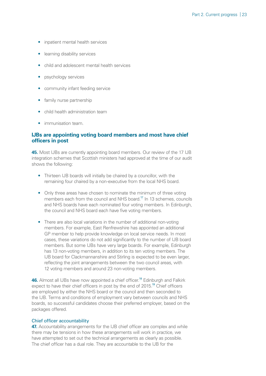- inpatient mental health services
- learning disability services
- child and adolescent mental health services
- psychology services
- community infant feeding service
- family nurse partnership
- child health administration team
- immunisation team.

#### **IJBs are appointing voting board members and most have chief officers in post**

**45.** Most IJBs are currently appointing board members. Our review of the 17 IJB integration schemes that Scottish ministers had approved at the time of our audit shows the following:

- Thirteen IJB boards will initially be chaired by a councillor, with the remaining four chaired by a non-executive from the local NHS board.
- <span id="page-22-0"></span>• Only three areas have chosen to nominate the minimum of three voting members each from the council and NHS board.<sup>[17](#page-41-17)</sup> In 13 schemes, councils and NHS boards have each nominated four voting members. In Edinburgh, the council and NHS board each have five voting members.
- There are also local variations in the number of additional non-voting members. For example, East Renfrewshire has appointed an additional GP member to help provide knowledge on local service needs. In most cases, these variations do not add significantly to the number of IJB board members. But some IJBs have very large boards. For example, Edinburgh has 13 non-voting members, in addition to its ten voting members. The IJB board for Clackmannanshire and Stirling is expected to be even larger, reflecting the joint arrangements between the two council areas, with 12 voting members and around 23 non-voting members.

<span id="page-22-2"></span><span id="page-22-1"></span>**46.** Almost all IJBs have now appointed a chief officer.<sup>[18](#page-41-18)</sup> Edinburgh and Falkirk expect to have their chief officers in post by the end of 2015.<sup>[19](#page-41-19)</sup> Chief officers are employed by either the NHS board or the council and then seconded to the IJB. Terms and conditions of employment vary between councils and NHS boards, so successful candidates choose their preferred employer, based on the packages offered.

#### Chief officer accountability

**47.** Accountability arrangements for the IJB chief officer are complex and while there may be tensions in how these arrangements will work in practice, we have attempted to set out the technical arrangements as clearly as possible. The chief officer has a dual role. They are accountable to the IJB for the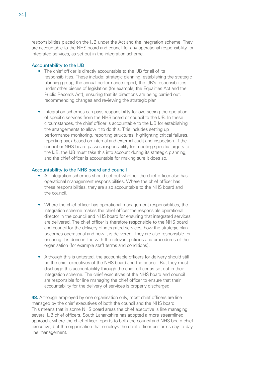responsibilities placed on the IJB under the Act and the integration scheme. They are accountable to the NHS board and council for any operational responsibility for integrated services, as set out in the integration scheme.

#### Accountability to the IJB

- The chief officer is directly accountable to the IJB for all of its responsibilities. These include: strategic planning, establishing the strategic planning group, the annual performance report, the IJB's responsibilities under other pieces of legislation (for example, the Equalities Act and the Public Records Act), ensuring that its directions are being carried out, recommending changes and reviewing the strategic plan.
- Integration schemes can pass responsibility for overseeing the operation of specific services from the NHS board or council to the IJB. In these circumstances, the chief officer is accountable to the IJB for establishing the arrangements to allow it to do this. This includes setting up performance monitoring, reporting structures, highlighting critical failures, reporting back based on internal and external audit and inspection. If the council or NHS board passes responsibility for meeting specific targets to the IJB, the IJB must take this into account during its strategic planning, and the chief officer is accountable for making sure it does so.

#### Accountability to the NHS board and council

- All integration schemes should set out whether the chief officer also has operational management responsibilities. Where the chief officer has these responsibilities, they are also accountable to the NHS board and the council.
- Where the chief officer has operational management responsibilities, the integration scheme makes the chief officer the responsible operational director in the council and NHS board for ensuring that integrated services are delivered. The chief officer is therefore responsible to the NHS board and council for the delivery of integrated services, how the strategic plan becomes operational and how it is delivered. They are also responsible for ensuring it is done in line with the relevant policies and procedures of the organisation (for example staff terms and conditions).
- Although this is untested, the accountable officers for delivery should still be the chief executives of the NHS board and the council. But they must discharge this accountability through the chief officer as set out in their integration scheme. The chief executives of the NHS board and council are responsible for line managing the chief officer to ensure that their accountability for the delivery of services is properly discharged.

**48.** Although employed by one organisation only, most chief officers are line managed by the chief executives of both the council and the NHS board. This means that in some NHS board areas the chief executive is line managing several IJB chief officers. South Lanarkshire has adopted a more streamlined approach, where the chief officer reports to both the council and NHS board chief executive, but the organisation that employs the chief officer performs day-to-day line management.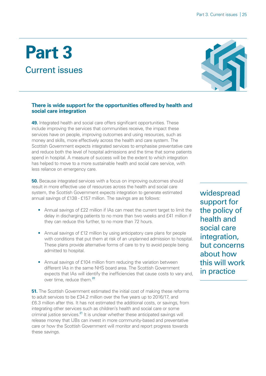### <span id="page-24-0"></span>**Part 3** Current issues



#### **There is wide support for the opportunities offered by health and social care integration**

**49.** Integrated health and social care offers significant opportunities. These include improving the services that communities receive, the impact these services have on people, improving outcomes and using resources, such as money and skills, more effectively across the health and care system. The Scottish Government expects integrated services to emphasise preventative care and reduce both the level of hospital admissions and the time that some patients spend in hospital. A measure of success will be the extent to which integration has helped to move to a more sustainable health and social care service, with less reliance on emergency care.

**50.** Because integrated services with a focus on improving outcomes should result in more effective use of resources across the health and social care system, the Scottish Government expects integration to generate estimated annual savings of £138 - £157 million. The savings are as follows:

- Annual savings of £22 million if IAs can meet the current target to limit the delay in discharging patients to no more than two weeks and £41 million if they can reduce this further, to no more than 72 hours.
- Annual savings of £12 million by using anticipatory care plans for people with conditions that put them at risk of an unplanned admission to hospital. These plans provide alternative forms of care to try to avoid people being admitted to hospital.
- <span id="page-24-1"></span>• Annual savings of £104 million from reducing the variation between different IAs in the same NHS board area. The Scottish Government expects that IAs will identify the inefficiencies that cause costs to vary and, over time, reduce them.<sup>[20](#page-41-20)</sup>

<span id="page-24-2"></span>**51.** The Scottish Government estimated the initial cost of making these reforms to adult services to be £34.2 million over the five years up to 2016/17, and £6.3 million after this. It has not estimated the additional costs, or savings, from integrating other services such as children's health and social care or some criminal justice services. $21$  It is unclear whether these anticipated savings will release money that IJBs can invest in more community-based and preventative care or how the Scottish Government will monitor and report progress towards these savings.

widespread support for the policy of health and social care integration, but concerns about how this will work in practice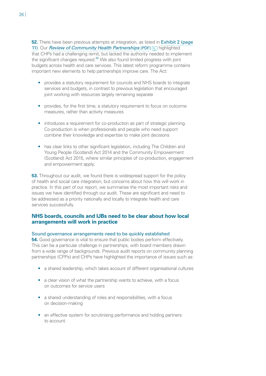<span id="page-25-0"></span>**52.** There have been previous attempts at integration, as listed in Exhibit 2 (page [11\)](#page-10-0). Our *[Review of Community Health Partnerships](http://www.audit-scotland.gov.uk/uploads/docs/report/2011/nr_110602_chp.pdf)* [PDF] highlighted that CHPs had a challenging remit, but lacked the authority needed to implement the significant changes required.<sup>[22](#page-41-22)</sup> We also found limited progress with joint budgets across health and care services. This latest reform programme contains important new elements to help partnerships improve care. The Act:

- provides a statutory requirement for councils and NHS boards to integrate services and budgets, in contrast to previous legislation that encouraged joint working with resources largely remaining separate
- provides, for the first time, a statutory requirement to focus on outcome measures, rather than activity measures
- introduces a requirement for co-production as part of strategic planning. Co-production is when professionals and people who need support combine their knowledge and expertise to make joint decisions
- has clear links to other significant legislation, including The Children and Young People (Scotland) Act 2014 and the Community Empowerment (Scotland) Act 2015, where similar principles of co-production, engagement and empowerment apply.

**53.** Throughout our audit, we found there is widespread support for the policy of health and social care integration, but concerns about how this will work in practice. In this part of our report, we summarise the most important risks and issues we have identified through our audit. These are significant and need to be addressed as a priority nationally and locally to integrate health and care services successfully.

#### **NHS boards, councils and IJBs need to be clear about how local arrangements will work in practice**

#### Sound governance arrangements need to be quickly established

**54.** Good governance is vital to ensure that public bodies perform effectively. This can be a particular challenge in partnerships, with board members drawn from a wide range of backgrounds. Previous audit reports on community planning partnerships (CPPs) and CHPs have highlighted the importance of issues such as:

- a shared leadership, which takes account of different organisational cultures
- a clear vision of what the partnership wants to achieve, with a focus on outcomes for service users
- a shared understanding of roles and responsibilities, with a focus on decision-making
- an effective system for scrutinising performance and holding partners to account.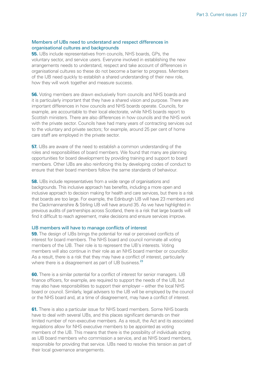#### Members of IJBs need to understand and respect differences in organisational cultures and backgrounds

**55.** IJBs include representatives from councils, NHS boards, GPs, the voluntary sector, and service users. Everyone involved in establishing the new arrangements needs to understand, respect and take account of differences in organisational cultures so these do not become a barrier to progress. Members of the IJB need quickly to establish a shared understanding of their new role, how they will work together and measure success.

**56.** Voting members are drawn exclusively from councils and NHS boards and it is particularly important that they have a shared vision and purpose. There are important differences in how councils and NHS boards operate. Councils, for example, are accountable to their local electorate, while NHS boards report to Scottish ministers. There are also differences in how councils and the NHS work with the private sector. Councils have had many years of contracting services out to the voluntary and private sectors; for example, around 25 per cent of home care staff are employed in the private sector.

**57.** IJBs are aware of the need to establish a common understanding of the roles and responsibilities of board members. We found that many are planning opportunities for board development by providing training and support to board members. Other IJBs are also reinforcing this by developing codes of conduct to ensure that their board members follow the same standards of behaviour.

**58.** IJBs include representatives from a wide range of organisations and backgrounds. This inclusive approach has benefits, including a more open and inclusive approach to decision making for health and care services, but there is a risk that boards are too large. For example, the Edinburgh IJB will have 23 members and the Clackmannanshire & Stirling IJB will have around 35. As we have highlighted in previous audits of partnerships across Scotland, there is a risk that large boards will find it difficult to reach agreement, make decisions and ensure services improve.

#### IJB members will have to manage conflicts of interest

**59.** The design of IJBs brings the potential for real or perceived conflicts of interest for board members. The NHS board and council nominate all voting members of the IJB. Their role is to represent the IJB's interests. Voting members will also continue in their role as an NHS board member or councillor. As a result, there is a risk that they may have a conflict of interest, particularly where there is a disagreement as part of IJB business. $^{23}$  $^{23}$  $^{23}$ 

<span id="page-26-0"></span>**60.** There is a similar potential for a conflict of interest for senior managers. IJB finance officers, for example, are required to support the needs of the IJB, but may also have responsibilities to support their employer – either the local NHS board or council. Similarly, legal advisers to the IJB will be employed by the council or the NHS board and, at a time of disagreement, may have a conflict of interest.

**61.** There is also a particular issue for NHS board members. Some NHS boards have to deal with several IJBs, and this places significant demands on their limited number of non-executive members. As a result, the Act and its associated regulations allow for NHS executive members to be appointed as voting members of the IJB. This means that there is the possibility of individuals acting as IJB board members who commission a service, and as NHS board members, responsible for providing that service. IJBs need to resolve this tension as part of their local governance arrangements.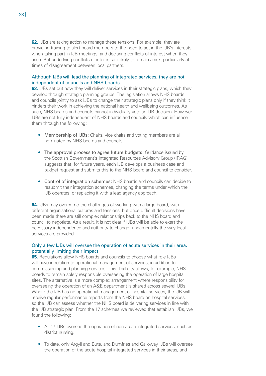**62.** IJBs are taking action to manage these tensions. For example, they are providing training to alert board members to the need to act in the IJB's interests when taking part in IJB meetings, and declaring conflicts of interest when they arise. But underlying conflicts of interest are likely to remain a risk, particularly at times of disagreement between local partners.

#### Although IJBs will lead the planning of integrated services, they are not independent of councils and NHS boards

**63.** IJBs set out how they will deliver services in their strategic plans, which they develop through strategic planning groups. The legislation allows NHS boards and councils jointly to ask IJBs to change their strategic plans only if they think it hinders their work in achieving the national health and wellbeing outcomes. As such, NHS boards and councils cannot individually veto an IJB decision. However IJBs are not fully independent of NHS boards and councils which can influence them through the following:

- Membership of IJBs: Chairs, vice chairs and voting members are all nominated by NHS boards and councils.
- The approval process to agree future budgets: Guidance issued by the Scottish Government's Integrated Resources Advisory Group (IRAG) suggests that, for future years, each IJB develops a business case and budget request and submits this to the NHS board and council to consider.
- Control of integration schemes: NHS boards and councils can decide to resubmit their integration schemes, changing the terms under which the IJB operates, or replacing it with a lead agency approach.

**64.** IJBs may overcome the challenges of working with a large board, with different organisational cultures and tensions, but once difficult decisions have been made there are still complex relationships back to the NHS board and council to negotiate. As a result, it is not clear if IJBs will be able to exert the necessary independence and authority to change fundamentally the way local services are provided.

#### Only a few IJBs will oversee the operation of acute services in their area, potentially limiting their impact

**65.** Regulations allow NHS boards and councils to choose what role IJBs will have in relation to operational management of services, in addition to commissioning and planning services. This flexibility allows, for example, NHS boards to remain solely responsible overseeing the operation of large hospital sites. The alternative is a more complex arrangement where responsibility for overseeing the operation of an A&E department is shared across several IJBs. Where the IJB has no operational management of hospital services, the IJB will receive regular performance reports from the NHS board on hospital services, so the IJB can assess whether the NHS board is delivering services in line with the IJB strategic plan. From the 17 schemes we reviewed that establish IJBs, we found the following:

- All 17 IJBs oversee the operation of non-acute integrated services, such as district nursing.
- To date, only Argyll and Bute, and Dumfries and Galloway IJBs will oversee the operation of the acute hospital integrated services in their areas, and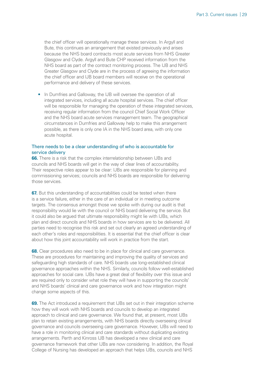the chief officer will operationally manage these services. In Argyll and Bute, this continues an arrangement that existed previously and arises because the NHS board contracts most acute services from NHS Greater Glasgow and Clyde. Argyll and Bute CHP received information from the NHS board as part of the contract monitoring process. The IJB and NHS Greater Glasgow and Clyde are in the process of agreeing the information the chief officer and IJB board members will receive on the operational performance and delivery of these services.

• In Dumfries and Galloway, the IJB will oversee the operation of all integrated services, including all acute hospital services. The chief officer will be responsible for managing the operation of these integrated services, receiving regular information from the council Chief Social Work Officer and the NHS board acute services management team. The geographical circumstances in Dumfries and Galloway help to make this arrangement possible, as there is only one IA in the NHS board area, with only one acute hospital.

#### There needs to be a clear understanding of who is accountable for service delivery

**66.** There is a risk that the complex interrelationship between IJBs and councils and NHS boards will get in the way of clear lines of accountability. Their respective roles appear to be clear: IJBs are responsible for planning and commissioning services; councils and NHS boards are responsible for delivering those services.

**67.** But this understanding of accountabilities could be tested when there is a service failure, either in the care of an individual or in meeting outcome targets. The consensus amongst those we spoke with during our audit is that responsibility would lie with the council or NHS board delivering the service. But it could also be argued that ultimate responsibility might lie with IJBs, which plan and direct councils and NHS boards in how services are to be delivered. All parties need to recognise this risk and set out clearly an agreed understanding of each other's roles and responsibilities. It is essential that the chief officer is clear about how this joint accountability will work in practice from the start.

**68.** Clear procedures also need to be in place for clinical and care governance. These are procedures for maintaining and improving the quality of services and safeguarding high standards of care. NHS boards use long-established clinical governance approaches within the NHS. Similarly, councils follow well-established approaches for social care. IJBs have a great deal of flexibility over this issue and are required only to consider what role they will have in supporting the councils' and NHS boards' clinical and care governance work and how integration might change some aspects of this.

**69.** The Act introduced a requirement that IJBs set out in their integration scheme how they will work with NHS boards and councils to develop an integrated approach to clinical and care governance. We found that, at present, most IJBs plan to retain existing arrangements, with NHS boards directly overseeing clinical governance and councils overseeing care governance. However, IJBs will need to have a role in monitoring clinical and care standards without duplicating existing arrangements. Perth and Kinross IJB has developed a new clinical and care governance framework that other IJBs are now considering. In addition, the Royal College of Nursing has developed an approach that helps IJBs, councils and NHS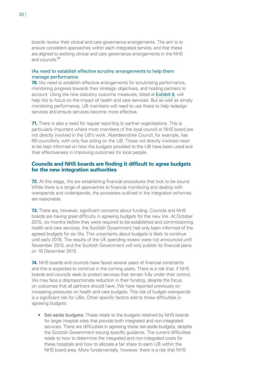boards review their clinical and care governance arrangements. The aim is to ensure consistent approaches within each integrated service, and that these are aligned to existing clinical and care governance arrangements in the NHS and councils  $\frac{24}{3}$  $\frac{24}{3}$  $\frac{24}{3}$ 

#### <span id="page-29-0"></span>IAs need to establish effective scrutiny arrangements to help them manage performance

**70.** IAs need to establish effective arrangements for scrutinising performance, monitoring progress towards their strategic objectives, and holding partners to account. Using the nine statutory outcome measures, listed at [Exhibit 6](#page-17-0), will help IAs to focus on the impact of health and care services. But as well as simply monitoring performance, IJB members will need to use these to help redesign services and ensure services become more effective.

**71.** There is also a need for regular reporting to partner organisations. This is particularly important where most members of the local council or NHS board are not directly involved in the IJB's work. Aberdeenshire Council, for example, has 68 councillors, with only five sitting on the IJB. Those not directly involved need to be kept informed on how the budgets provided to the IJB have been used and their effectiveness in improving outcomes for local people.

#### **Councils and NHS boards are finding it difficult to agree budgets for the new integration authorities**

**72.** At this stage, IAs are establishing financial procedures that look to be sound. While there is a range of approaches to financial monitoring and dealing with overspends and underspends, the processes outlined in the integration schemes are reasonable.

**73.** There are, however, significant concerns about funding. Councils and NHS boards are having great difficulty in agreeing budgets for the new IAs. At October 2015, six months before they were required to be established and commissioning health and care services, the Scottish Government had only been informed of the agreed budgets for six IAs. This uncertainty about budgets is likely to continue until early 2016. The results of the UK spending review were not announced until November 2015, and the Scottish Government will only publish its financial plans on 16 December 2015.

**74.** NHS boards and councils have faced several years of financial constraints and this is expected to continue in the coming years. There is a risk that, if NHS boards and councils seek to protect services that remain fully under their control, IAs may face a disproportionate reduction in their funding, despite the focus on outcomes that all partners should have. We have reported previously on increasing pressures on health and care budgets. This risk of budget overspends is a significant risk for IJBs. Other specific factors add to these difficulties in agreeing budgets:

• Set-aside budgets: These relate to the budgets retained by NHS boards for larger hospital sites that provide both integrated and non-integrated services. There are difficulties in agreeing these set-aside budgets, despite the Scottish Government issuing specific guidance. The current difficulties relate to how to determine the integrated and non-integrated costs for these hospitals and how to allocate a fair share to each IJB within the NHS board area. More fundamentally, however, there is a risk that NHS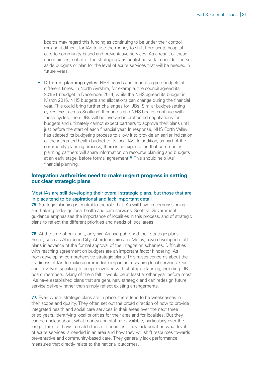boards may regard this funding as continuing to be under their control, making it difficult for IAs to use the money to shift from acute hospital care to community-based and preventative services. As a result of these uncertainties, not all of the strategic plans published so far consider the setaside budgets or plan for the level of acute services that will be needed in future years.

• Different planning cycles: NHS boards and councils agree budgets at different times. In North Ayrshire, for example, the council agreed its 2015/16 budget in December 2014, while the NHS agreed its budget in March 2015. NHS budgets and allocations can change during the financial year. This could bring further challenges for IJBs. Similar budget-setting cycles exist across Scotland. If councils and NHS boards continue with these cycles, then IJBs will be involved in protracted negotiations for budgets and ultimately cannot expect partners to approve their plans until just before the start of each financial year. In response, NHS Forth Valley has adapted its budgeting process to allow it to provide an earlier indication of the integrated health budget to its local IAs. In addition, as part of the community planning process, there is an expectation that community planning partners will share information on resource planning and budgets at an early stage, before formal agreement.<sup>[25](#page-41-25)</sup> This should help IAs' financial planning.

#### <span id="page-30-0"></span>**Integration authorities need to make urgent progress in setting out clear strategic plans**

#### Most IAs are still developing their overall strategic plans, but those that are in place tend to be aspirational and lack important detail

**75.** Strategic planning is central to the role that IAs will have in commissioning and helping redesign local health and care services. Scottish Government guidance emphasises the importance of localities in this process, and of strategic plans to reflect the different priorities and needs of local areas.

**76.** At the time of our audit, only six IAs had published their strategic plans. Some, such as Aberdeen City, Aberdeenshire and Moray, have developed draft plans in advance of the formal approval of the integration schemes. Difficulties with reaching agreement on budgets are an important factor hindering IAs from developing comprehensive strategic plans. This raises concerns about the readiness of IAs to make an immediate impact in reshaping local services. Our audit involved speaking to people involved with strategic planning, including IJB board members. Many of them felt it would be at least another year before most IAs have established plans that are genuinely strategic and can redesign future service delivery rather than simply reflect existing arrangements.

**77.** Even where strategic plans are in place, there tend to be weaknesses in their scope and quality. They often set out the broad direction of how to provide integrated health and social care services in their areas over the next three or so years, identifying local priorities for their area and for localities. But they can be unclear about what money and staff are available, particularly over the longer term, or how to match these to priorities. They lack detail on what level of acute services is needed in an area and how they will shift resources towards preventative and community-based care. They generally lack performance measures that directly relate to the national outcomes.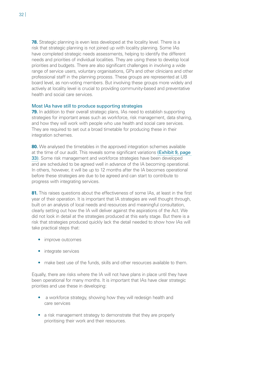**78.** Strategic planning is even less developed at the locality level. There is a risk that strategic planning is not joined up with locality planning. Some IAs have completed strategic needs assessments, helping to identify the different needs and priorities of individual localities. They are using these to develop local priorities and budgets. There are also significant challenges in involving a wide range of service users, voluntary organisations, GPs and other clinicians and other professional staff in the planning process. These groups are represented at IJB board level, as non-voting members. But involving these groups more widely and actively at locality level is crucial to providing community-based and preventative health and social care services.

#### Most IAs have still to produce supporting strategies

**79.** In addition to their overall strategic plans, IAs need to establish supporting strategies for important areas such as workforce, risk management, data sharing, and how they will work with people who use health and social care services. They are required to set out a broad timetable for producing these in their integration schemes.

**80.** We analysed the timetables in the approved integration schemes available at the time of our audit. This reveals some significant variations [\(Exhibit 9, page](#page-32-0)  [33\)](#page-32-0). Some risk management and workforce strategies have been developed and are scheduled to be agreed well in advance of the IA becoming operational. In others, however, it will be up to 12 months after the IA becomes operational before these strategies are due to be agreed and can start to contribute to progress with integrating services.

81. This raises questions about the effectiveness of some IAs, at least in the first year of their operation. It is important that IA strategies are well thought through, built on an analysis of local needs and resources and meaningful consultation, clearly setting out how the IA will deliver against the aspirations of the Act. We did not look in detail at the strategies produced at this early stage. But there is a risk that strategies produced quickly lack the detail needed to show how IAs will take practical steps that:

- improve outcomes
- integrate services
- make best use of the funds, skills and other resources available to them.

Equally, there are risks where the IA will not have plans in place until they have been operational for many months. It is important that IAs have clear strategic priorities and use these in developing:

- a workforce strategy, showing how they will redesign health and care services
- a risk management strategy to demonstrate that they are properly prioritising their work and their resources.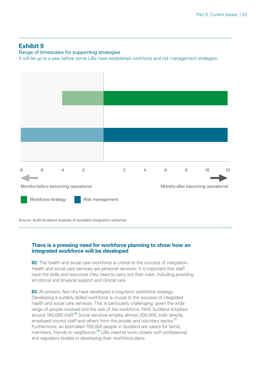#### <span id="page-32-0"></span>**Exhibit 9**

#### Range of timescales for supporting strategies

It will be up to a year before some IJBs have established workforce and risk management strategies.



Source: Audit Scotland analysis of available integration schemes

#### **There is a pressing need for workforce planning to show how an integrated workforce will be developed**

**82.** The health and social care workforce is critical to the success of integration. Health and social care services are personal services; it is important that staff have the skills and resources they need to carry out their roles, including providing emotional and physical support and clinical care.

<span id="page-32-3"></span><span id="page-32-2"></span><span id="page-32-1"></span>83. At present, few IAs have developed a long-term workforce strategy. Developing a suitably skilled workforce is crucial to the success of integrated health and social care services. This is particularly challenging, given the wide range of people involved and the size of the workforce. NHS Scotland employs around 160,000 staff.<sup>[26](#page-42-0)</sup> Social services employ almost 200,000, both directly employed council staff and others from the private and voluntary sector.<sup>[27](#page-42-1)</sup> Furthermore, an estimated 759,000 people in Scotland are carers for family members, friends or neighbours.<sup>[28](#page-42-2)</sup> IJBs need to work closely with professional and regulatory bodies in developing their workforce plans.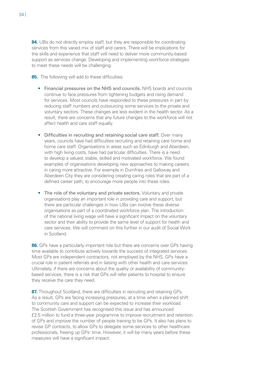84. IJBs do not directly employ staff, but they are responsible for coordinating services from this varied mix of staff and carers. There will be implications for the skills and experience that staff will need to deliver more community-based support as services change. Developing and implementing workforce strategies to meet these needs will be challenging.

**85.** The following will add to these difficulties:

- Financial pressures on the NHS and councils. NHS boards and councils continue to face pressures from tightening budgets and rising demand for services. Most councils have responded to these pressures in part by reducing staff numbers and outsourcing some services to the private and voluntary sectors. These changes are less evident in the health sector. As a result, there are concerns that any future changes to the workforce will not affect health and care staff equally.
- Difficulties in recruiting and retaining social care staff. Over many years, councils have had difficulties recruiting and retaining care home and home care staff. Organisations in areas such as Edinburgh and Aberdeen, with high living costs, have had particular difficulties. There is a need to develop a valued, stable, skilled and motivated workforce. We found examples of organisations developing new approaches to making careers in caring more attractive. For example in Dumfries and Galloway and Aberdeen City they are considering creating caring roles that are part of a defined career path, to encourage more people into these roles.
- The role of the voluntary and private sectors. Voluntary and private organisations play an important role in providing care and support, but there are particular challenges in how IJBs can involve these diverse organisations as part of a coordinated workforce plan. The introduction of the national living wage will have a significant impact on the voluntary sector and their ability to provide the same level of support for health and care services. We will comment on this further in our audit of Social Work in Scotland.

**86.** GPs have a particularly important role but there are concerns over GPs having time available to contribute actively towards the success of integrated services. Most GPs are independent contractors, not employed by the NHS. GPs have a crucial role in patient referrals and in liaising with other health and care services. Ultimately, if there are concerns about the quality or availability of communitybased services, there is a risk that GPs will refer patients to hospital to ensure they receive the care they need.

**87.** Throughout Scotland, there are difficulties in recruiting and retaining GPs. As a result, GPs are facing increasing pressures, at a time when a planned shift to community care and support can be expected to increase their workload. The Scottish Government has recognised this issue and has announced £2.5 million to fund a three-year programme to improve recruitment and retention of GPs and improve the number of people training to be GPs. It also has plans to revise GP contracts, to allow GPs to delegate some services to other healthcare professionals, freeing up GPs' time. However, it will be many years before these measures will have a significant impact.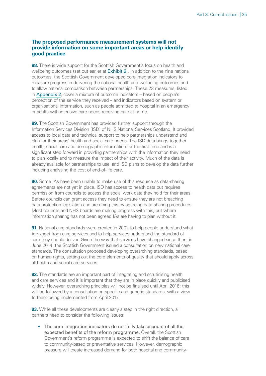#### **The proposed performance measurement systems will not provide information on some important areas or help identify good practice**

**88.** There is wide support for the Scottish Government's focus on health and wellbeing outcomes (set out earlier at **[Exhibit 6](#page-17-0)**). In addition to the nine national outcomes, the Scottish Government developed core integration indicators to measure progress in delivering the national health and wellbeing outcomes and to allow national comparison between partnerships. These 23 measures, listed in [Appendix 2](#page-44-1), cover a mixture of outcome indicators – based on people's perception of the service they received – and indicators based on system or organisational information, such as people admitted to hospital in an emergency or adults with intensive care needs receiving care at home.

**89.** The Scottish Government has provided further support through the Information Services Division (ISD) of NHS National Services Scotland. It provided access to local data and technical support to help partnerships understand and plan for their areas' health and social care needs. The ISD data brings together health, social care and demographic information for the first time and is a significant step forward in providing partnerships with the information they need to plan locally and to measure the impact of their activity. Much of the data is already available for partnerships to use, and ISD plans to develop the data further including analysing the cost of end-of-life care.

**90.** Some IAs have been unable to make use of this resource as data-sharing agreements are not yet in place. ISD has access to health data but requires permission from councils to access the social work data they hold for their areas. Before councils can grant access they need to ensure they are not breaching data protection legislation and are doing this by agreeing data-sharing procedures. Most councils and NHS boards are making progress with this, but where information sharing has not been agreed IAs are having to plan without it.

**91.** National care standards were created in 2002 to help people understand what to expect from care services and to help services understand the standard of care they should deliver. Given the way that services have changed since then, in June 2014, the Scottish Government issued a consultation on new national care standards. The consultation proposed developing overarching standards, based on human rights, setting out the core elements of quality that should apply across all health and social care services.

**92.** The standards are an important part of integrating and scrutinising health and care services and it is important that they are in place quickly and publicised widely. However, overarching principles will not be finalised until April 2016; this will be followed by a consultation on specific and generic standards, with a view to them being implemented from April 2017.

**93.** While all these developments are clearly a step in the right direction, all partners need to consider the following issues:

• The core integration indicators do not fully take account of all the expected benefits of the reform programme. Overall, the Scottish Government's reform programme is expected to shift the balance of care to community-based or preventative services. However, demographic pressure will create increased demand for both hospital and community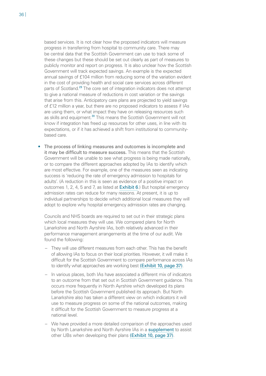<span id="page-35-0"></span>based services. It is not clear how the proposed indicators will measure progress in transferring from hospital to community care. There may be central data that the Scottish Government can use to track some of these changes but these should be set out clearly as part of measures to publicly monitor and report on progress. It is also unclear how the Scottish Government will track expected savings. An example is the expected annual savings of £104 million from reducing some of the variation evident in the cost of providing health and social care services across different parts of Scotland.<sup>[29](#page-42-3)</sup> The core set of integration indicators does not attempt to give a national measure of reductions in cost variation or the savings that arise from this. Anticipatory care plans are projected to yield savings of £12 million a year, but there are no proposed indicators to assess if IAs are using them, or what impact they have on releasing resources such as skills and equipment.<sup>[30](#page-42-4)</sup> This means the Scottish Government will not know if integration has freed up resources for other uses, in line with its expectations, or if it has achieved a shift from institutional to communitybased care.

<span id="page-35-1"></span>• The process of linking measures and outcomes is incomplete and it may be difficult to measure success. This means that the Scottish Government will be unable to see what progress is being made nationally, or to compare the different approaches adopted by IAs to identify which are most effective. For example, one of the measures seen as indicating success is 'reducing the rate of emergency admission to hospitals for adults'. (A reduction in this is seen as evidence of a positive impact on outcomes 1, 2, 4, 5 and 7, as listed at [Exhibit 6](#page-17-0).) But hospital emergency admission rates can reduce for many reasons. At present, it is up to individual partnerships to decide which additional local measures they will adopt to explore why hospital emergency admission rates are changing.

Councils and NHS boards are required to set out in their strategic plans which local measures they will use. We compared plans for North Lanarkshire and North Ayrshire IAs, both relatively advanced in their performance management arrangements at the time of our audit. We found the following:

- They will use different measures from each other. This has the benefit of allowing IAs to focus on their local priorities. However, it will make it difficult for the Scottish Government to compare performance across IAs to identify what approaches are working best [\(Exhibit 10, page 37\)](#page-36-0).
- In various places, both IAs have associated a different mix of indicators to an outcome from that set out in Scottish Government guidance. This occurs more frequently in North Ayrshire which developed its plans before the Scottish Government published its approach. But North Lanarkshire also has taken a different view on which indicators it will use to measure progress on some of the national outcomes, making it difficult for the Scottish Government to measure progress at a national level.
- We have provided a more detailed comparison of the approaches used by North Lanarkshire and North Ayrshire IAs in a [supplement](http://www.audit-scotland.gov.uk/uploads/docs/report/2015/nr_151203_health_socialcare_supp1.pdf) to assist other IJBs when developing their plans [\(Exhibit 10, page 37\)](#page-36-0).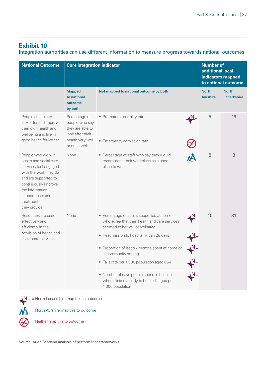#### <span id="page-36-0"></span>**Exhibit 10**

Integration authorities can use different information to measure progress towards national outcomes

| <b>National Outcome</b>                                                                                                                                                                                              | <b>Core integration indicator</b>                                                                            |                                                                                                                            |                |                                 | <b>Number of</b><br>additional local<br>indicators mapped<br>to national outcome |  |
|----------------------------------------------------------------------------------------------------------------------------------------------------------------------------------------------------------------------|--------------------------------------------------------------------------------------------------------------|----------------------------------------------------------------------------------------------------------------------------|----------------|---------------------------------|----------------------------------------------------------------------------------|--|
|                                                                                                                                                                                                                      | <b>Mapped</b><br>to national<br>outcome<br>by both                                                           | Not mapped to national outcome by both                                                                                     |                | <b>North</b><br><b>Ayrshire</b> | <b>North</b><br><b>Lanarkshire</b>                                               |  |
| People are able to<br>look after and improve<br>their own health and<br>wellbeing and live in<br>good health for longer                                                                                              | Percentage of<br>people who say<br>they are able to<br>look after their<br>health very well<br>or quite well | • Premature mortality rate                                                                                                 | (NL            | 5                               | 19                                                                               |  |
|                                                                                                                                                                                                                      |                                                                                                              | • Emergency admission rate                                                                                                 |                |                                 |                                                                                  |  |
| People who work in<br>health and social care<br>services feel engaged<br>with the work they do<br>and are supported to<br>continuously improve<br>the information,<br>support, care and<br>treatment<br>they provide | None                                                                                                         | • Percentage of staff who say they would<br>recommend their workplace as a good<br>place to work                           |                | 8                               | 8                                                                                |  |
| Resources are used<br>effectively and<br>efficiently in the                                                                                                                                                          | None                                                                                                         | • Percentage of adults supported at home<br>who agree that their health and care services<br>seemed to be well coordinated | <b>NL</b>      | 10                              | 31                                                                               |  |
| provision of health and<br>social care services                                                                                                                                                                      |                                                                                                              | • Readmission to hospital within 28 days                                                                                   | N <sub>L</sub> |                                 |                                                                                  |  |
|                                                                                                                                                                                                                      |                                                                                                              | • Proportion of last six months spent at home or<br>in community setting                                                   | NL             |                                 |                                                                                  |  |
|                                                                                                                                                                                                                      |                                                                                                              | • Falls rate per 1,000 population aged 65+                                                                                 | <b>NL</b>      |                                 |                                                                                  |  |
|                                                                                                                                                                                                                      |                                                                                                              | • Number of days people spend in hospital<br>when clinically ready to be discharged per<br>1,000 population                | <u>(NL</u>     |                                 |                                                                                  |  |

 $NL =$  North Lanarkshire map this to outcome

 $M =$  North Ayrshire map this to outcome

 $=$  Neither map this to outcome

Source: Audit Scotland analysis of performance frameworks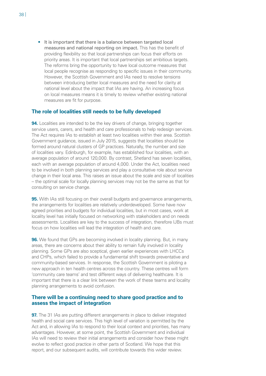• It is important that there is a balance between targeted local measures and national reporting on impact. This has the benefit of providing flexibility so that local partnerships can focus their efforts on priority areas. It is important that local partnerships set ambitious targets. The reforms bring the opportunity to have local outcome measures that local people recognise as responding to specific issues in their community. However, the Scottish Government and IAs need to resolve tensions between introducing better local measures and the need for clarity at national level about the impact that IAs are having. An increasing focus on local measures means it is timely to review whether existing national measures are fit for purpose.

#### **The role of localities still needs to be fully developed**

**94.** Localities are intended to be the key drivers of change, bringing together service users, carers, and health and care professionals to help redesign services. The Act requires IAs to establish at least two localities within their area. Scottish Government guidance, issued in July 2015, suggests that localities should be formed around natural clusters of GP practices. Naturally, the number and size of localities vary. Edinburgh, for example, has established four localities, with an average population of around 120,000. By contrast, Shetland has seven localities, each with an average population of around 4,000. Under the Act, localities need to be involved in both planning services and play a consultative role about service change in their local area. This raises an issue about the scale and size of localities – the optimal scale for locally planning services may not be the same as that for consulting on service change.

**95.** With IAs still focusing on their overall budgets and governance arrangements, the arrangements for localities are relatively underdeveloped. Some have now agreed priorities and budgets for individual localities, but in most cases, work at locality level has initially focused on networking with stakeholders and on needs assessments. Localities are key to the success of integration, therefore IJBs must focus on how localities will lead the integration of health and care.

**96.** We found that GPs are becoming involved in locality planning. But, in many areas, there are concerns about their ability to remain fully involved in locality planning. Some GPs are also sceptical, given earlier experiences with LHCCs and CHPs, which failed to provide a fundamental shift towards preventative and community-based services. In response, the Scottish Government is piloting a new approach in ten health centres across the country. These centres will form 'community care teams' and test different ways of delivering healthcare. It is important that there is a clear link between the work of these teams and locality planning arrangements to avoid confusion.

#### **There will be a continuing need to share good practice and to assess the impact of integration**

**97.** The 31 IAs are putting different arrangements in place to deliver integrated health and social care services. This high level of variation is permitted by the Act and, in allowing IAs to respond to their local context and priorities, has many advantages. However, at some point, the Scottish Government and individual IAs will need to review their initial arrangements and consider how these might evolve to reflect good practice in other parts of Scotland. We hope that this report, and our subsequent audits, will contribute towards this wider review.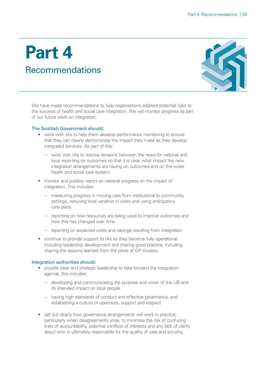### <span id="page-38-1"></span><span id="page-38-0"></span>**Part 4 Recommendations**



We have made recommendations to help organisations address potential risks to the success of health and social care integration. We will monitor progress as part of our future work on integration.

#### The Scottish Government should:

- work with IAs to help them develop performance monitoring to ensure that they can clearly demonstrate the impact they make as they develop integrated services. As part of this:
	- work with IAs to resolve tensions between the need for national and local reporting on outcomes so that it is clear what impact the new integration arrangements are having on outcomes and on the wider health and social care system
- monitor and publicly report on national progress on the impact of integration. This includes:
	- measuring progress in moving care from institutional to community settings, reducing local variation in costs and using anticipatory care plans
	- reporting on how resources are being used to improve outcomes and how this has changed over time
	- reporting on expected costs and savings resulting from integration
- continue to provide support to IAs as they become fully operational, including leadership development and sharing good practice, including sharing the lessons learned from the pilots of GP clusters.

#### Integration authorities should:

- provide clear and strategic leadership to take forward the integration agenda; this includes:
	- developing and communicating the purpose and vision of the IJB and its intended impact on local people
	- having high standards of conduct and effective governance, and establishing a culture of openness, support and respect
- set out clearly how governance arrangements will work in practice, particularly when disagreements arise, to minimise the risk of confusing lines of accountability, potential conflicts of interests and any lack of clarity about who is ultimately responsible for the quality of care and scrutiny.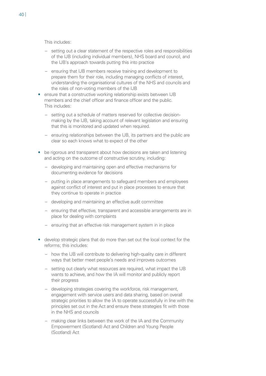This includes:

- setting out a clear statement of the respective roles and responsibilities of the IJB (including individual members), NHS board and council, and the IJB's approach towards putting this into practice
- ensuring that IJB members receive training and development to prepare them for their role, including managing conflicts of interest, understanding the organisational cultures of the NHS and councils and the roles of non-voting members of the IJB
- ensure that a constructive working relationship exists between IJB members and the chief officer and finance officer and the public. This includes:
	- setting out a schedule of matters reserved for collective decisionmaking by the IJB, taking account of relevant legislation and ensuring that this is monitored and updated when required.
	- ensuring relationships between the IJB, its partners and the public are clear so each knows what to expect of the other
- be rigorous and transparent about how decisions are taken and listening and acting on the outcome of constructive scrutiny, including:
	- developing and maintaining open and effective mechanisms for documenting evidence for decisions
	- putting in place arrangements to safeguard members and employees against conflict of interest and put in place processes to ensure that they continue to operate in practice
	- developing and maintaining an effective audit committee
	- ensuring that effective, transparent and accessible arrangements are in place for dealing with complaints
	- ensuring that an effective risk management system in in place
- develop strategic plans that do more than set out the local context for the reforms; this includes:
	- how the IJB will contribute to delivering high-quality care in different ways that better meet people's needs and improves outcomes
	- setting out clearly what resources are required, what impact the IJB wants to achieve, and how the IA will monitor and publicly report their progress
	- developing strategies covering the workforce, risk management, engagement with service users and data sharing, based on overall strategic priorities to allow the IA to operate successfully in line with the principles set out in the Act and ensure these strategies fit with those in the NHS and councils
	- making clear links between the work of the IA and the Community Empowerment (Scotland) Act and Children and Young People (Scotland) Act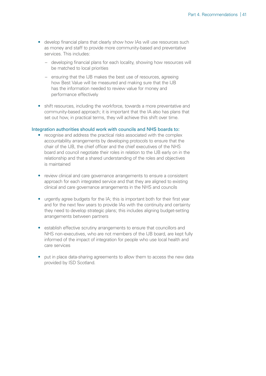- develop financial plans that clearly show how IAs will use resources such as money and staff to provide more community-based and preventative services. This includes:
	- developing financial plans for each locality, showing how resources will be matched to local priorities
	- ensuring that the IJB makes the best use of resources, agreeing how Best Value will be measured and making sure that the IJB has the information needed to review value for money and performance effectively
- shift resources, including the workforce, towards a more preventative and community-based approach; it is important that the IA also has plans that set out how, in practical terms, they will achieve this shift over time.

#### Integration authorities should work with councils and NHS boards to:

- recognise and address the practical risks associated with the complex accountability arrangements by developing protocols to ensure that the chair of the IJB, the chief officer and the chief executives of the NHS board and council negotiate their roles in relation to the IJB early on in the relationship and that a shared understanding of the roles and objectives is maintained
- review clinical and care governance arrangements to ensure a consistent approach for each integrated service and that they are aligned to existing clinical and care governance arrangements in the NHS and councils
- urgently agree budgets for the IA; this is important both for their first year and for the next few years to provide IAs with the continuity and certainty they need to develop strategic plans; this includes aligning budget-setting arrangements between partners
- establish effective scrutiny arrangements to ensure that councillors and NHS non-executives, who are not members of the IJB board, are kept fully informed of the impact of integration for people who use local health and care services
- put in place data-sharing agreements to allow them to access the new data provided by ISD Scotland.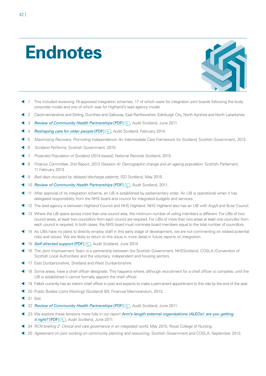## <span id="page-41-0"></span>**Endnotes**



- <span id="page-41-1"></span> 1 This included reviewing 18 approved integration schemes, 17 of which were for integration joint boards following the body corporate model and one of which was for Highland's lead agency model.
- <span id="page-41-2"></span>2 Clackmannanshire and Stirling, Dumfries and Galloway, East Renfrewshire, Edinburgh City, North Ayrshire and North Lanarkshire.
- <span id="page-41-3"></span>3 *[Review of Community Health Partnerships](http://www.audit-scotland.gov.uk/docs/health/2011/nr_110602_chp.pdf)* [PDF] **,** Audit Scotland, June 2011.
- <span id="page-41-4"></span>**4** *[Reshaping care for older people](http://www.audit-scotland.gov.uk/docs/central/2014/nr_140206_reshaping_care.pdf)* [PDF] **,** Audit Scotland, February 2014.
- <span id="page-41-5"></span>5 *Maximising Recovery, Promoting Independence: An Intermediate Care Framework for Scotland,* Scottish Government, 2012.
- <span id="page-41-6"></span>6 *Scotland Performs*, Scottish Government, 2015.
- <span id="page-41-7"></span>7 *Projected Population of Scotland (2014-based),* National Records Scotland, 2015.
- <span id="page-41-8"></span> 8 *Finance Committee. 2nd Report, 2013 (Session 4): Demographic change and an ageing population*. Scottish Parliament, 11 February 2013.
- <span id="page-41-9"></span>9 *Bed days occupied by delayed discharge patients*, ISD Scotland, May 2015.
- <span id="page-41-10"></span>10 *[Review of Community Health Partnerships](http://www.audit-scotland.gov.uk/docs/health/2011/nr_110602_chp.pdf)* [PDF] **,** Audit Scotland, 2011.
- <span id="page-41-11"></span> 11 After approval of its integration scheme, an IJB is established by parliamentary order. An IJB is operational when it has delegated responsibility from the NHS board and council for integrated budgets and services.
- <span id="page-41-12"></span>12 The lead agency is between Highland Council and NHS Highland. NHS Highland also has an IJB with Argyll and Bute Council.
- <span id="page-41-13"></span> 13 Where the IJB spans across more than one council area, the minimum number of voting members is different. For IJBs of two council areas, at least two councillors from each council are required. For IJBs of more than two areas at least one councillor from each council is required. In both cases, the NHS board must nominate board members equal to the total number of councillors.
- <span id="page-41-14"></span> 14 As IJBs have no plans to directly employ staff in this early stage of development, we are not commenting on related potential risks and issues. We are likely to return to this issue in more detail in future reports on integration.
- <span id="page-41-15"></span>15 **[Self-directed support](http://www.audit-scotland.gov.uk/docs/central/2014/nr_140612_self_directed_support.pdf) [PDF]** , Audit Scotland, June 2014
- <span id="page-41-16"></span> 16 The Joint Improvement Team is a partnership between the Scottish Government, NHSScotland, COSLA (Convention of Scottish Local Authorities) and the voluntary, independent and housing sectors.
- <span id="page-41-17"></span>17 East Dunbartonshire, Shetland and West Dunbartonshire.
- <span id="page-41-18"></span> 18 Some areas, have a chief officer designate. This happens where, although recruitment for a chief officer is complete, until the IJB is established it cannot formally appoint the chief officer.
- <span id="page-41-19"></span>19 Falkirk currently has an interim chief officer in post and expects to make a permanent appointment to this role by the end of the year.
- <span id="page-41-20"></span>20 Public Bodies (Joint Working) (Scotland) Bill, Financial Memorandum, 2013.
- <span id="page-41-21"></span>21 Ibid.
- <span id="page-41-22"></span>1 22 *[Review of Community Health Partnerships](http://www.audit-scotland.gov.uk/docs/health/2011/nr_110602_chp.pdf)* [PDF] , Audit Scotland, June 2011.
- <span id="page-41-23"></span> 23 We explore these tensions more fully in our report *[Arm's-length external organisations \(ALEOs\): are you getting](http://www.audit-scotland.gov.uk/uploads/docs/report/2011/nr_110616_aleos.pdf)  [it right?](http://www.audit-scotland.gov.uk/uploads/docs/report/2011/nr_110616_aleos.pdf)* [PDF] \, Audit Scotland, June 2011.
- <span id="page-41-24"></span><sup>2</sup> 24 *RCN briefing 2: Clinical and care governance in an integrated world, May 2015, Royal College of Nursing.*
- <span id="page-41-25"></span>25 *Agreement on joint working on community planning and resourcing*, Scottish Government and COSLA, September 2013.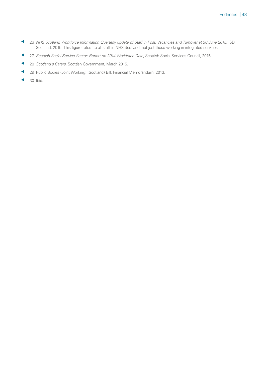- <span id="page-42-0"></span> 26 *NHS Scotland Workforce Information Quarterly update of Staff in Post, Vacancies and Turnover at 30 June 2015*, ISD Scotland, 2015. This figure refers to all staff in NHS Scotland, not just those working in integrated services.
- <span id="page-42-1"></span>27 *Scottish Social Service Sector: Report on 2014 Workforce Data*, Scottish Social Services Council, 2015.
- <span id="page-42-2"></span>28 *Scotland's Carers,* Scottish Government, March 2015.
- <span id="page-42-3"></span>29 Public Bodies (Joint Working) (Scotland) Bill, Financial Memorandum, 2013.
- <span id="page-42-4"></span> $\triangleleft$  30 Ibid.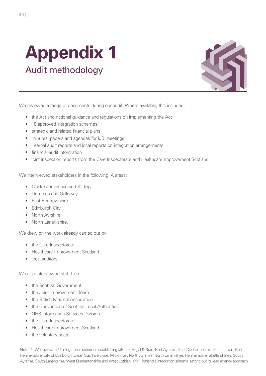## <span id="page-43-1"></span><span id="page-43-0"></span>**Appendix 1** Audit methodology



We reviewed a range of documents during our audit. Where available, this included:

- the Act and national guidance and regulations on implementing the Act
- $\bullet$  18 approved integration schemes $^1$
- strategic and related financial plans
- minutes, papers and agendas for IJB meetings
- internal audit reports and local reports on integration arrangements
- financial audit information
- joint inspection reports from the Care Inspectorate and Healthcare Improvement Scotland.

We interviewed stakeholders in the following IA areas:

- Clackmannanshire and Stirling
- Dumfries and Galloway
- East Renfrewshire
- Edinburgh City
- North Ayrshire
- North Lanarkshire.

We drew on the work already carried out by:

- the Care Inspectorate
- Healthcare Improvement Scotland
- local auditors

We also interviewed staff from:

- the Scottish Government
- the Joint Improvement Team
- the British Medical Association
- the Convention of Scottish Local Authorities
- NHS Information Services Division
- the Care Inspectorate
- Healthcare Improvement Scotland
- the voluntary sector.

Note: 1. We reviewed 17 integrations schemes establishing IJBs for Argyll & Bute, East Ayrshire, East Dunbartonshire, East Lothian, East Renfrewshire, City of Edinburgh, Eilean Siar, Inverclyde, Midlothian, North Ayrshire, North Lanarkshire, Renfrewshire, Shetland Isles, South Ayrshire, South Lanarkshire, West Dunbartonshire and West Lothian, and Highland's integration scheme setting out its lead agency approach.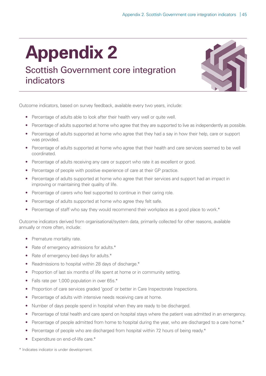## <span id="page-44-1"></span><span id="page-44-0"></span>**Appendix 2**

### Scottish Government core integration indicators



Outcome indicators, based on survey feedback, available every two years, include:

- Percentage of adults able to look after their health very well or quite well.
- Percentage of adults supported at home who agree that they are supported to live as independently as possible.
- Percentage of adults supported at home who agree that they had a say in how their help, care or support was provided.
- Percentage of adults supported at home who agree that their health and care services seemed to be well coordinated.
- Percentage of adults receiving any care or support who rate it as excellent or good.
- Percentage of people with positive experience of care at their GP practice.
- Percentage of adults supported at home who agree that their services and support had an impact in improving or maintaining their quality of life.
- Percentage of carers who feel supported to continue in their caring role.
- Percentage of adults supported at home who agree they felt safe.
- Percentage of staff who say they would recommend their workplace as a good place to work.\*

Outcome indicators derived from organisational/system data, primarily collected for other reasons, available annually or more often, include:

- Premature mortality rate.
- Rate of emergency admissions for adults.\*
- Rate of emergency bed days for adults.\*
- Readmissions to hospital within 28 days of discharge.\*
- Proportion of last six months of life spent at home or in community setting.
- Falls rate per 1,000 population in over 65s.\*
- Proportion of care services graded 'good' or better in Care Inspectorate Inspections.
- Percentage of adults with intensive needs receiving care at home.
- Number of days people spend in hospital when they are ready to be discharged.
- Percentage of total health and care spend on hospital stays where the patient was admitted in an emergency.
- Percentage of people admitted from home to hospital during the year, who are discharged to a care home.\*
- Percentage of people who are discharged from hospital within 72 hours of being ready.\*
- Expenditure on end-of-life care.\*

\* Indicates indicator is under development.